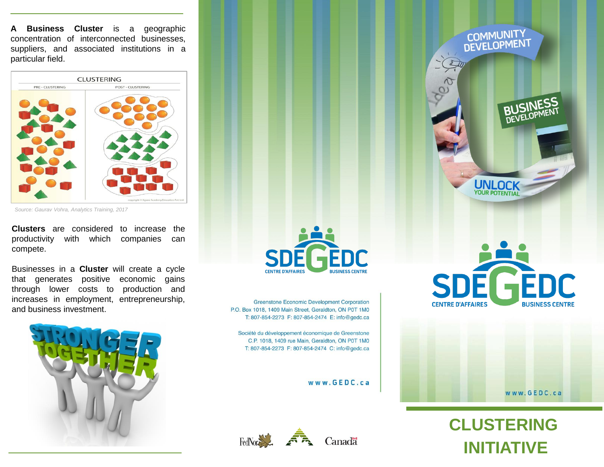**A Business Cluster** is a geographic concentration of interconnected businesses, suppliers, and associated institutions in a particular field.



*Source: Gaurav Vohra, Analytics Training, 2017*

**Clusters** are considered to increase the productivity with which companies can compete.

Businesses in a **Cluster** will create a cycle that generates positive economic gains through lower costs to production and increases in employment, entrepreneurship, and business investment.





Greenstone Economic Development Corporation P.O. Box 1018, 1409 Main Street, Geraldton, ON P0T 1M0 T: 807-854-2273 F: 807-854-2474 E: info@gedc.ca

Société du développement économique de Greenstone C.P. 1018, 1409 rue Main, Geraldton, ON P0T 1M0 T: 807-854-2273 F: 807-854-2474 C: info@gedc.ca

www.GEDC.ca



# COMMUNITY<br>DEVELOPMENT  $\frac{1}{\sqrt{2}}$ BUSINESS **UNLOCK**<br>YOUR POTENTIAL



www.GEDC.ca

**CLUSTERING INITIATIVE**